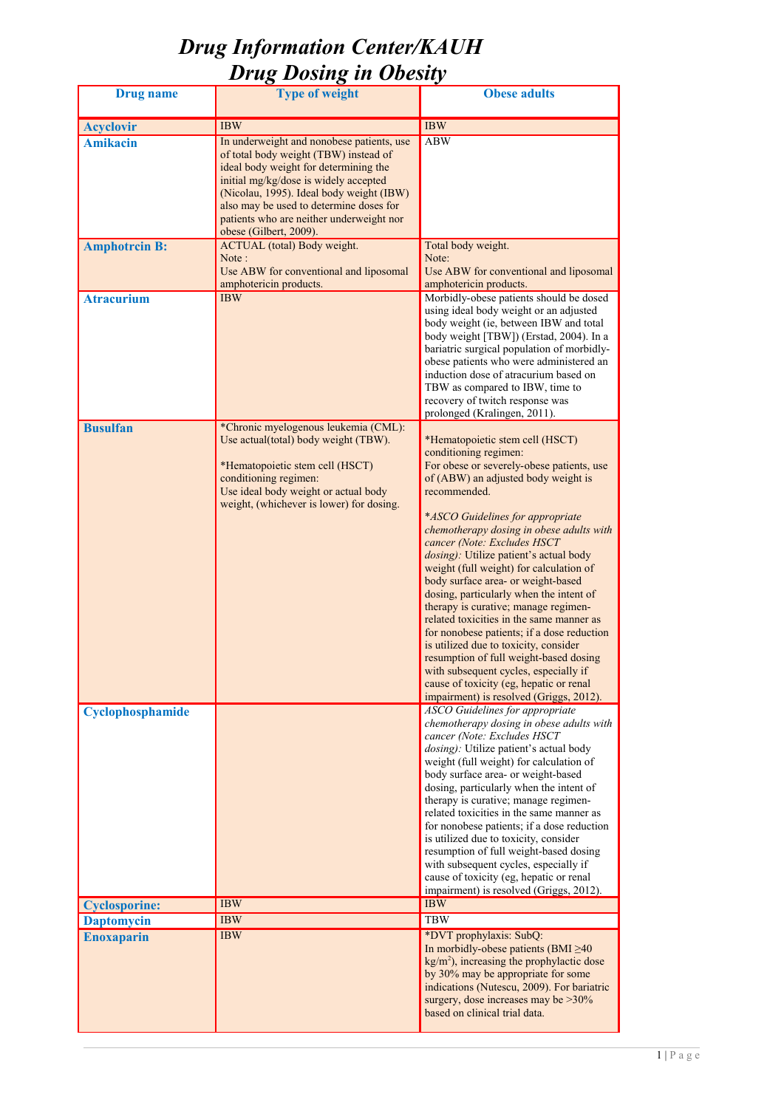| <b>Drug</b> name     | <b>Type of weight</b>                                                                                                                                                                                                                                                                                                             | <b>Obese adults</b>                                                                                                                                                                                                                                                                                                                                                                                                                                                                                                                                                                                                                                                                                                                                                                                   |
|----------------------|-----------------------------------------------------------------------------------------------------------------------------------------------------------------------------------------------------------------------------------------------------------------------------------------------------------------------------------|-------------------------------------------------------------------------------------------------------------------------------------------------------------------------------------------------------------------------------------------------------------------------------------------------------------------------------------------------------------------------------------------------------------------------------------------------------------------------------------------------------------------------------------------------------------------------------------------------------------------------------------------------------------------------------------------------------------------------------------------------------------------------------------------------------|
| <b>Acyclovir</b>     | <b>IBW</b>                                                                                                                                                                                                                                                                                                                        | <b>IBW</b>                                                                                                                                                                                                                                                                                                                                                                                                                                                                                                                                                                                                                                                                                                                                                                                            |
| <b>Amikacin</b>      | In underweight and nonobese patients, use<br>of total body weight (TBW) instead of<br>ideal body weight for determining the<br>initial mg/kg/dose is widely accepted<br>(Nicolau, 1995). Ideal body weight (IBW)<br>also may be used to determine doses for<br>patients who are neither underweight nor<br>obese (Gilbert, 2009). | <b>ABW</b>                                                                                                                                                                                                                                                                                                                                                                                                                                                                                                                                                                                                                                                                                                                                                                                            |
| <b>Amphotrcin B:</b> | <b>ACTUAL</b> (total) Body weight.<br>Note:<br>Use ABW for conventional and liposomal<br>amphotericin products.                                                                                                                                                                                                                   | Total body weight.<br>Note:<br>Use ABW for conventional and liposomal<br>amphotericin products.                                                                                                                                                                                                                                                                                                                                                                                                                                                                                                                                                                                                                                                                                                       |
| <b>Atracurium</b>    | <b>IBW</b>                                                                                                                                                                                                                                                                                                                        | Morbidly-obese patients should be dosed<br>using ideal body weight or an adjusted<br>body weight (ie, between IBW and total<br>body weight [TBW]) (Erstad, 2004). In a<br>bariatric surgical population of morbidly-<br>obese patients who were administered an<br>induction dose of atracurium based on<br>TBW as compared to IBW, time to<br>recovery of twitch response was<br>prolonged (Kralingen, 2011).                                                                                                                                                                                                                                                                                                                                                                                        |
| <b>Busulfan</b>      | *Chronic myelogenous leukemia (CML):<br>Use actual(total) body weight (TBW).<br>*Hematopoietic stem cell (HSCT)<br>conditioning regimen:<br>Use ideal body weight or actual body<br>weight, (whichever is lower) for dosing.                                                                                                      | *Hematopoietic stem cell (HSCT)<br>conditioning regimen:<br>For obese or severely-obese patients, use<br>of (ABW) an adjusted body weight is<br>recommended.<br>*ASCO Guidelines for appropriate<br>chemotherapy dosing in obese adults with<br>cancer (Note: Excludes HSCT<br>dosing): Utilize patient's actual body<br>weight (full weight) for calculation of<br>body surface area- or weight-based<br>dosing, particularly when the intent of<br>therapy is curative; manage regimen-<br>related toxicities in the same manner as<br>for nonobese patients; if a dose reduction<br>is utilized due to toxicity, consider<br>resumption of full weight-based dosing<br>with subsequent cycles, especially if<br>cause of toxicity (eg, hepatic or renal<br>impairment) is resolved (Griggs, 2012). |
| Cyclophosphamide     |                                                                                                                                                                                                                                                                                                                                   | <b>ASCO</b> Guidelines for appropriate<br>chemotherapy dosing in obese adults with<br>cancer (Note: Excludes HSCT<br>dosing): Utilize patient's actual body<br>weight (full weight) for calculation of<br>body surface area- or weight-based<br>dosing, particularly when the intent of<br>therapy is curative; manage regimen-<br>related toxicities in the same manner as<br>for nonobese patients; if a dose reduction<br>is utilized due to toxicity, consider<br>resumption of full weight-based dosing<br>with subsequent cycles, especially if<br>cause of toxicity (eg, hepatic or renal<br>impairment) is resolved (Griggs, 2012).                                                                                                                                                           |
| <b>Cyclosporine:</b> | <b>IBW</b>                                                                                                                                                                                                                                                                                                                        | <b>IBW</b>                                                                                                                                                                                                                                                                                                                                                                                                                                                                                                                                                                                                                                                                                                                                                                                            |
| <b>Daptomycin</b>    | <b>IBW</b>                                                                                                                                                                                                                                                                                                                        | <b>TBW</b>                                                                                                                                                                                                                                                                                                                                                                                                                                                                                                                                                                                                                                                                                                                                                                                            |
| <b>Enoxaparin</b>    | <b>IBW</b>                                                                                                                                                                                                                                                                                                                        | *DVT prophylaxis: SubQ:<br>In morbidly-obese patients (BMI $\geq$ 40<br>$kg/m2$ ), increasing the prophylactic dose<br>by 30% may be appropriate for some<br>indications (Nutescu, 2009). For bariatric<br>surgery, dose increases may be $>30\%$<br>based on clinical trial data.                                                                                                                                                                                                                                                                                                                                                                                                                                                                                                                    |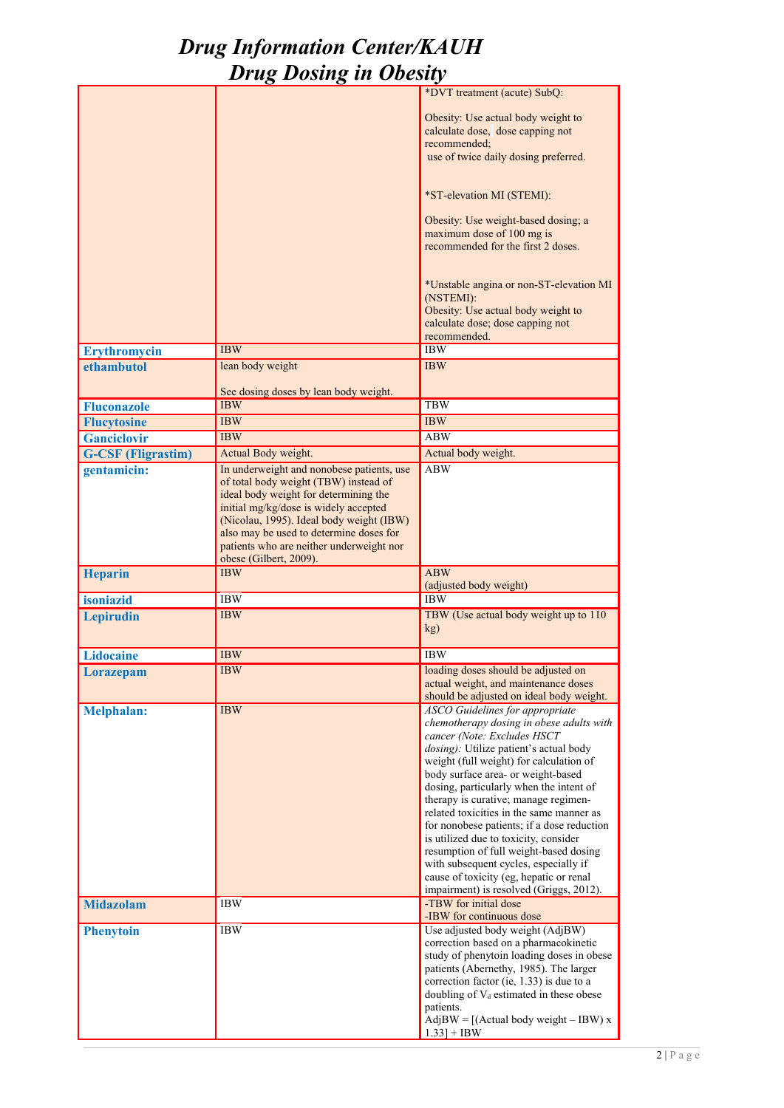|                           |                                                                                                                                                                                                                                                                                                                                   | *DVT treatment (acute) SubQ:                                                                                                                                                                                                                                                                                                                                                                                                                                                                                                                                                                                                                |
|---------------------------|-----------------------------------------------------------------------------------------------------------------------------------------------------------------------------------------------------------------------------------------------------------------------------------------------------------------------------------|---------------------------------------------------------------------------------------------------------------------------------------------------------------------------------------------------------------------------------------------------------------------------------------------------------------------------------------------------------------------------------------------------------------------------------------------------------------------------------------------------------------------------------------------------------------------------------------------------------------------------------------------|
|                           |                                                                                                                                                                                                                                                                                                                                   | Obesity: Use actual body weight to<br>calculate dose, dose capping not<br>recommended;<br>use of twice daily dosing preferred.                                                                                                                                                                                                                                                                                                                                                                                                                                                                                                              |
|                           |                                                                                                                                                                                                                                                                                                                                   | *ST-elevation MI (STEMI):                                                                                                                                                                                                                                                                                                                                                                                                                                                                                                                                                                                                                   |
|                           |                                                                                                                                                                                                                                                                                                                                   | Obesity: Use weight-based dosing; a<br>maximum dose of 100 mg is<br>recommended for the first 2 doses.                                                                                                                                                                                                                                                                                                                                                                                                                                                                                                                                      |
|                           |                                                                                                                                                                                                                                                                                                                                   | *Unstable angina or non-ST-elevation MI<br>(NSTEMI):<br>Obesity: Use actual body weight to<br>calculate dose; dose capping not<br>recommended.                                                                                                                                                                                                                                                                                                                                                                                                                                                                                              |
| <b>Erythromycin</b>       | <b>IBW</b>                                                                                                                                                                                                                                                                                                                        | <b>IBW</b>                                                                                                                                                                                                                                                                                                                                                                                                                                                                                                                                                                                                                                  |
| ethambutol                | lean body weight                                                                                                                                                                                                                                                                                                                  | <b>IBW</b>                                                                                                                                                                                                                                                                                                                                                                                                                                                                                                                                                                                                                                  |
|                           |                                                                                                                                                                                                                                                                                                                                   |                                                                                                                                                                                                                                                                                                                                                                                                                                                                                                                                                                                                                                             |
|                           | See dosing doses by lean body weight.                                                                                                                                                                                                                                                                                             |                                                                                                                                                                                                                                                                                                                                                                                                                                                                                                                                                                                                                                             |
| <b>Fluconazole</b>        | <b>IBW</b>                                                                                                                                                                                                                                                                                                                        | <b>TBW</b>                                                                                                                                                                                                                                                                                                                                                                                                                                                                                                                                                                                                                                  |
| <b>Flucytosine</b>        | <b>IBW</b>                                                                                                                                                                                                                                                                                                                        | <b>IBW</b>                                                                                                                                                                                                                                                                                                                                                                                                                                                                                                                                                                                                                                  |
| <b>Ganciclovir</b>        | <b>IBW</b>                                                                                                                                                                                                                                                                                                                        | <b>ABW</b>                                                                                                                                                                                                                                                                                                                                                                                                                                                                                                                                                                                                                                  |
| <b>G-CSF (Fligrastim)</b> | Actual Body weight.                                                                                                                                                                                                                                                                                                               | Actual body weight.                                                                                                                                                                                                                                                                                                                                                                                                                                                                                                                                                                                                                         |
| gentamicin:               | In underweight and nonobese patients, use<br>of total body weight (TBW) instead of<br>ideal body weight for determining the<br>initial mg/kg/dose is widely accepted<br>(Nicolau, 1995). Ideal body weight (IBW)<br>also may be used to determine doses for<br>patients who are neither underweight nor<br>obese (Gilbert, 2009). | <b>ABW</b>                                                                                                                                                                                                                                                                                                                                                                                                                                                                                                                                                                                                                                  |
| <b>Heparin</b>            | <b>IBW</b>                                                                                                                                                                                                                                                                                                                        | <b>ABW</b>                                                                                                                                                                                                                                                                                                                                                                                                                                                                                                                                                                                                                                  |
|                           |                                                                                                                                                                                                                                                                                                                                   | (adjusted body weight)                                                                                                                                                                                                                                                                                                                                                                                                                                                                                                                                                                                                                      |
| isoniazid                 | <b>IBW</b>                                                                                                                                                                                                                                                                                                                        | <b>IBW</b>                                                                                                                                                                                                                                                                                                                                                                                                                                                                                                                                                                                                                                  |
| <b>Lepirudin</b>          | <b>IBW</b>                                                                                                                                                                                                                                                                                                                        | TBW (Use actual body weight up to 110)<br>kg)                                                                                                                                                                                                                                                                                                                                                                                                                                                                                                                                                                                               |
| <b>Lidocaine</b>          | <b>IBW</b>                                                                                                                                                                                                                                                                                                                        | <b>IBW</b>                                                                                                                                                                                                                                                                                                                                                                                                                                                                                                                                                                                                                                  |
| <b>Lorazepam</b>          | <b>IBW</b>                                                                                                                                                                                                                                                                                                                        | loading doses should be adjusted on<br>actual weight, and maintenance doses<br>should be adjusted on ideal body weight.                                                                                                                                                                                                                                                                                                                                                                                                                                                                                                                     |
| <b>Melphalan:</b>         | <b>IBW</b>                                                                                                                                                                                                                                                                                                                        | <b>ASCO</b> Guidelines for appropriate<br>chemotherapy dosing in obese adults with<br>cancer (Note: Excludes HSCT<br>dosing): Utilize patient's actual body<br>weight (full weight) for calculation of<br>body surface area- or weight-based<br>dosing, particularly when the intent of<br>therapy is curative; manage regimen-<br>related toxicities in the same manner as<br>for nonobese patients; if a dose reduction<br>is utilized due to toxicity, consider<br>resumption of full weight-based dosing<br>with subsequent cycles, especially if<br>cause of toxicity (eg, hepatic or renal<br>impairment) is resolved (Griggs, 2012). |
| <b>Midazolam</b>          | <b>IBW</b>                                                                                                                                                                                                                                                                                                                        | -TBW for initial dose<br>-IBW for continuous dose                                                                                                                                                                                                                                                                                                                                                                                                                                                                                                                                                                                           |
| <b>Phenytoin</b>          | <b>IBW</b>                                                                                                                                                                                                                                                                                                                        | Use adjusted body weight (AdjBW)<br>correction based on a pharmacokinetic<br>study of phenytoin loading doses in obese<br>patients (Abernethy, 1985). The larger<br>correction factor (ie, $1.33$ ) is due to a<br>doubling of $V_d$ estimated in these obese<br>patients.<br>$AdjBW = [(Actual body weight - IBW)x]$<br>$1.33$ + IBW                                                                                                                                                                                                                                                                                                       |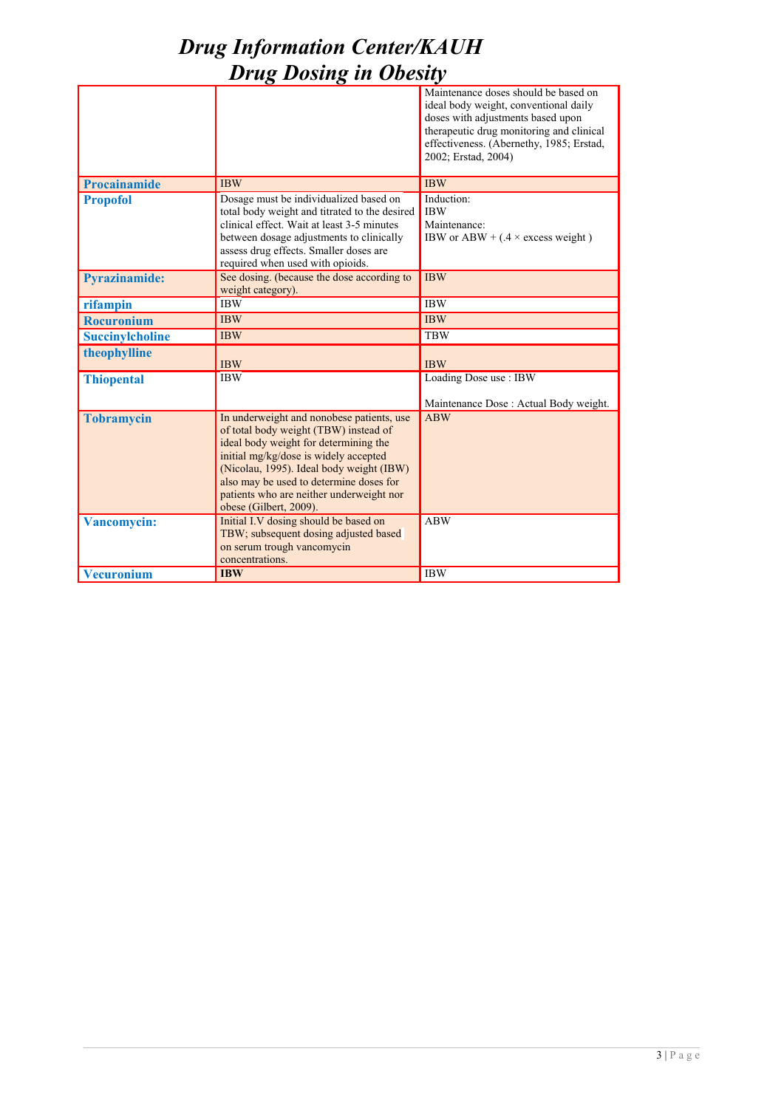|                        |                                                                                                                                                                                                                                                                                                                                   | Maintenance doses should be based on<br>ideal body weight, conventional daily<br>doses with adjustments based upon<br>therapeutic drug monitoring and clinical<br>effectiveness. (Abernethy, 1985; Erstad,<br>2002; Erstad, 2004) |
|------------------------|-----------------------------------------------------------------------------------------------------------------------------------------------------------------------------------------------------------------------------------------------------------------------------------------------------------------------------------|-----------------------------------------------------------------------------------------------------------------------------------------------------------------------------------------------------------------------------------|
| <b>Procainamide</b>    | <b>IBW</b>                                                                                                                                                                                                                                                                                                                        | <b>IBW</b>                                                                                                                                                                                                                        |
| <b>Propofol</b>        | Dosage must be individualized based on<br>total body weight and titrated to the desired<br>clinical effect. Wait at least 3-5 minutes<br>between dosage adjustments to clinically<br>assess drug effects. Smaller doses are<br>required when used with opioids.                                                                   | Induction:<br><b>IBW</b><br>Maintenance:<br>IBW or ABW + $(0.4 \times$ excess weight)                                                                                                                                             |
| <b>Pyrazinamide:</b>   | See dosing. (because the dose according to<br>weight category).                                                                                                                                                                                                                                                                   | <b>IBW</b>                                                                                                                                                                                                                        |
| rifampin               | <b>IBW</b>                                                                                                                                                                                                                                                                                                                        | <b>IBW</b>                                                                                                                                                                                                                        |
| <b>Rocuronium</b>      | <b>IBW</b>                                                                                                                                                                                                                                                                                                                        | <b>IBW</b>                                                                                                                                                                                                                        |
| <b>Succinylcholine</b> | <b>IBW</b>                                                                                                                                                                                                                                                                                                                        | <b>TBW</b>                                                                                                                                                                                                                        |
| theophylline           | <b>IBW</b>                                                                                                                                                                                                                                                                                                                        | <b>IBW</b>                                                                                                                                                                                                                        |
| <b>Thiopental</b>      | <b>IBW</b>                                                                                                                                                                                                                                                                                                                        | Loading Dose use: IBW<br>Maintenance Dose : Actual Body weight.                                                                                                                                                                   |
| <b>Tobramycin</b>      | In underweight and nonobese patients, use<br>of total body weight (TBW) instead of<br>ideal body weight for determining the<br>initial mg/kg/dose is widely accepted<br>(Nicolau, 1995). Ideal body weight (IBW)<br>also may be used to determine doses for<br>patients who are neither underweight nor<br>obese (Gilbert, 2009). | <b>ABW</b>                                                                                                                                                                                                                        |
| <b>Vancomycin:</b>     | Initial I.V dosing should be based on<br>TBW; subsequent dosing adjusted based<br>on serum trough vancomycin<br>concentrations.                                                                                                                                                                                                   | <b>ABW</b>                                                                                                                                                                                                                        |
| <b>Vecuronium</b>      | <b>IBW</b>                                                                                                                                                                                                                                                                                                                        | <b>IBW</b>                                                                                                                                                                                                                        |

### 3 | P a g e